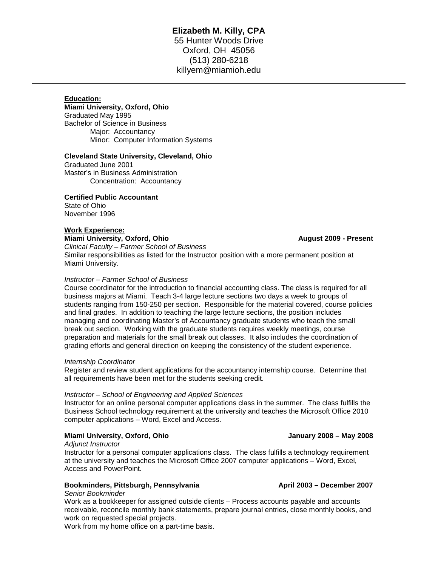# **Elizabeth M. Killy, CPA** 55 Hunter Woods Drive Oxford, OH 45056 (513) 280-6218 killyem@miamioh.edu

# **Education:**

## **Miami University, Oxford, Ohio**

Graduated May 1995 Bachelor of Science in Business Major: Accountancy Minor: Computer Information Systems

### **Cleveland State University, Cleveland, Ohio**

Graduated June 2001 Master's in Business Administration Concentration: Accountancy

## **Certified Public Accountant**

State of Ohio November 1996

### **Work Experience:**

**Miami University, Oxford, Ohio August 2009 - Present** *Clinical Faculty – Farmer School of Business* Similar responsibilities as listed for the Instructor position with a more permanent position at Miami University.

### *Instructor – Farmer School of Business*

Course coordinator for the introduction to financial accounting class. The class is required for all business majors at Miami. Teach 3-4 large lecture sections two days a week to groups of students ranging from 150-250 per section. Responsible for the material covered, course policies and final grades. In addition to teaching the large lecture sections, the position includes managing and coordinating Master's of Accountancy graduate students who teach the small break out section. Working with the graduate students requires weekly meetings, course preparation and materials for the small break out classes. It also includes the coordination of grading efforts and general direction on keeping the consistency of the student experience.

### *Internship Coordinator*

Register and review student applications for the accountancy internship course. Determine that all requirements have been met for the students seeking credit.

### *Instructor – School of Engineering and Applied Sciences*

Instructor for an online personal computer applications class in the summer. The class fulfills the Business School technology requirement at the university and teaches the Microsoft Office 2010 computer applications – Word, Excel and Access.

## **Miami University, Oxford, Ohio January 2008 – May 2008**

*Adjunct Instructor*

Instructor for a personal computer applications class. The class fulfills a technology requirement at the university and teaches the Microsoft Office 2007 computer applications – Word, Excel, Access and PowerPoint.

## **Bookminders, Pittsburgh, Pennsylvania April 2003 – December 2007**

## *Senior Bookminder*

Work as a bookkeeper for assigned outside clients – Process accounts payable and accounts receivable, reconcile monthly bank statements, prepare journal entries, close monthly books, and work on requested special projects.

Work from my home office on a part-time basis.